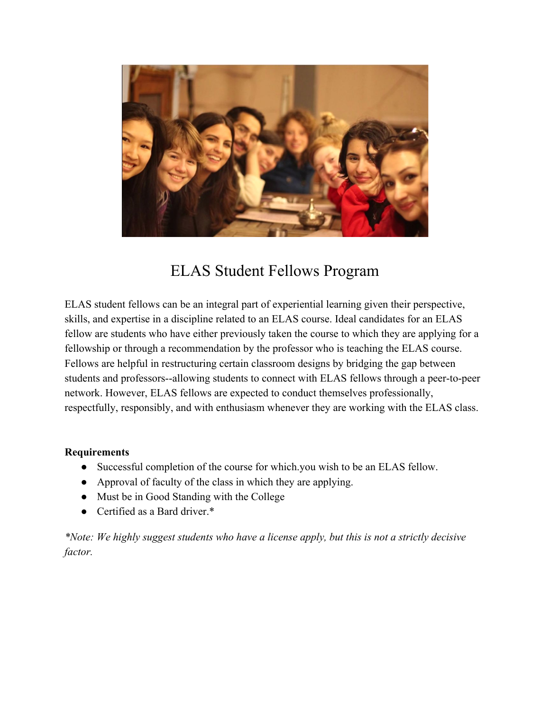

## ELAS Student Fellows Program

ELAS student fellows can be an integral part of experiential learning given their perspective, skills, and expertise in a discipline related to an ELAS course. Ideal candidates for an ELAS fellow are students who have either previously taken the course to which they are applying for a fellowship or through a recommendation by the professor who is teaching the ELAS course. Fellows are helpful in restructuring certain classroom designs by bridging the gap between students and professors--allowing students to connect with ELAS fellows through a peer-to-peer network. However, ELAS fellows are expected to conduct themselves professionally, respectfully, responsibly, and with enthusiasm whenever they are working with the ELAS class.

## **Requirements**

- Successful completion of the course for which you wish to be an ELAS fellow.
- Approval of faculty of the class in which they are applying.
- Must be in Good Standing with the College
- Certified as a Bard driver.\*

*\*Note: We highly suggest students who have a license apply, but this is not a strictly decisive factor.*